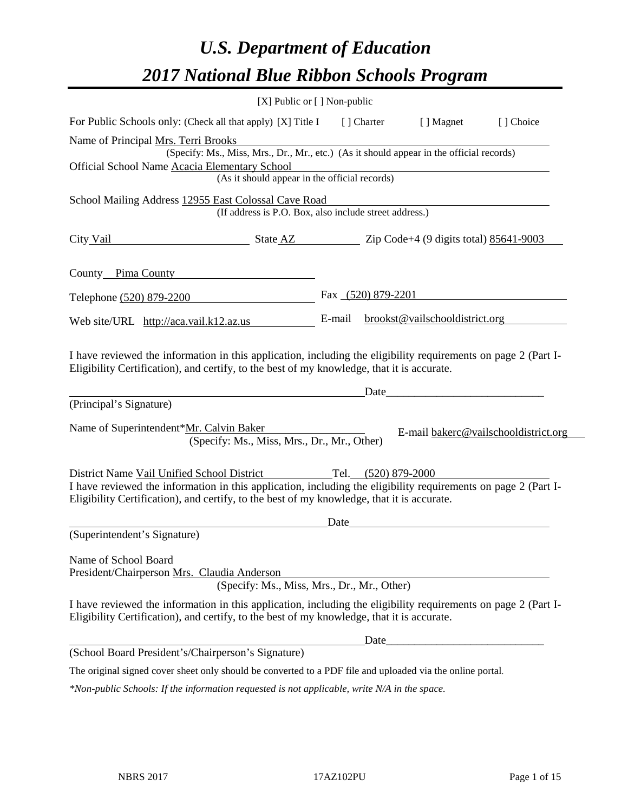# *U.S. Department of Education 2017 National Blue Ribbon Schools Program*

|                                                                                                                                                                                                              | $[X]$ Public or $[ \ ]$ Non-public |                    |                                                                                                                                                                                                                               |                                      |
|--------------------------------------------------------------------------------------------------------------------------------------------------------------------------------------------------------------|------------------------------------|--------------------|-------------------------------------------------------------------------------------------------------------------------------------------------------------------------------------------------------------------------------|--------------------------------------|
| For Public Schools only: (Check all that apply) [X] Title I [] Charter                                                                                                                                       |                                    |                    | [ ] Magnet                                                                                                                                                                                                                    | [] Choice                            |
| Name of Principal Mrs. Terri Brooks<br>(Specify: Ms., Miss, Mrs., Dr., Mr., etc.) (As it should appear in the official records)                                                                              |                                    |                    |                                                                                                                                                                                                                               |                                      |
| Official School Name Acacia Elementary School<br>(As it should appear in the official records)                                                                                                               |                                    |                    |                                                                                                                                                                                                                               |                                      |
|                                                                                                                                                                                                              |                                    |                    |                                                                                                                                                                                                                               |                                      |
| School Mailing Address 12955 East Colossal Cave Road<br>(If address is P.O. Box, also include street address.)                                                                                               |                                    |                    |                                                                                                                                                                                                                               |                                      |
| $\frac{\text{State AZ}}{\text{200}}$ $\frac{\text{State AZ}}{\text{200}}$ $\frac{\text{Code+4 (9 digits total)} \frac{85641 - 9003}{85641 - 9003}}$<br>City Vail                                             |                                    |                    |                                                                                                                                                                                                                               |                                      |
| County Pima County                                                                                                                                                                                           |                                    |                    |                                                                                                                                                                                                                               |                                      |
| Telephone (520) 879-2200                                                                                                                                                                                     |                                    | Fax (520) 879-2201 |                                                                                                                                                                                                                               |                                      |
| Web site/URL http://aca.vail.k12.az.us                                                                                                                                                                       | E-mail                             |                    | brookst@vailschooldistrict.org                                                                                                                                                                                                |                                      |
| Eligibility Certification), and certify, to the best of my knowledge, that it is accurate.<br>(Principal's Signature)                                                                                        |                                    |                    | Date and the same state of the state of the state of the state of the state of the state of the state of the state of the state of the state of the state of the state of the state of the state of the state of the state of |                                      |
| Name of Superintendent*Mr. Calvin Baker                                                                                                                                                                      |                                    |                    |                                                                                                                                                                                                                               | E-mail bakerc@vailschooldistrict.org |
| (Specify: Ms., Miss, Mrs., Dr., Mr., Other)                                                                                                                                                                  |                                    |                    |                                                                                                                                                                                                                               |                                      |
| District Name Vail Unified School District Tel. (520) 879-2000                                                                                                                                               |                                    |                    |                                                                                                                                                                                                                               |                                      |
| I have reviewed the information in this application, including the eligibility requirements on page 2 (Part I-<br>Eligibility Certification), and certify, to the best of my knowledge, that it is accurate. |                                    |                    |                                                                                                                                                                                                                               |                                      |
|                                                                                                                                                                                                              | Date                               |                    |                                                                                                                                                                                                                               |                                      |
| (Superintendent's Signature)                                                                                                                                                                                 |                                    |                    |                                                                                                                                                                                                                               |                                      |
| Name of School Board<br>President/Chairperson Mrs. Claudia Anderson<br>(Specify: Ms., Miss, Mrs., Dr., Mr., Other)                                                                                           |                                    |                    |                                                                                                                                                                                                                               |                                      |
| I have reviewed the information in this application, including the eligibility requirements on page 2 (Part I-<br>Eligibility Certification), and certify, to the best of my knowledge, that it is accurate. |                                    |                    |                                                                                                                                                                                                                               |                                      |
|                                                                                                                                                                                                              |                                    | Date_              |                                                                                                                                                                                                                               |                                      |
| (School Board President's/Chairperson's Signature)                                                                                                                                                           |                                    |                    |                                                                                                                                                                                                                               |                                      |
| The original signed cover sheet only should be converted to a PDF file and uploaded via the online portal.                                                                                                   |                                    |                    |                                                                                                                                                                                                                               |                                      |

*\*Non-public Schools: If the information requested is not applicable, write N/A in the space.*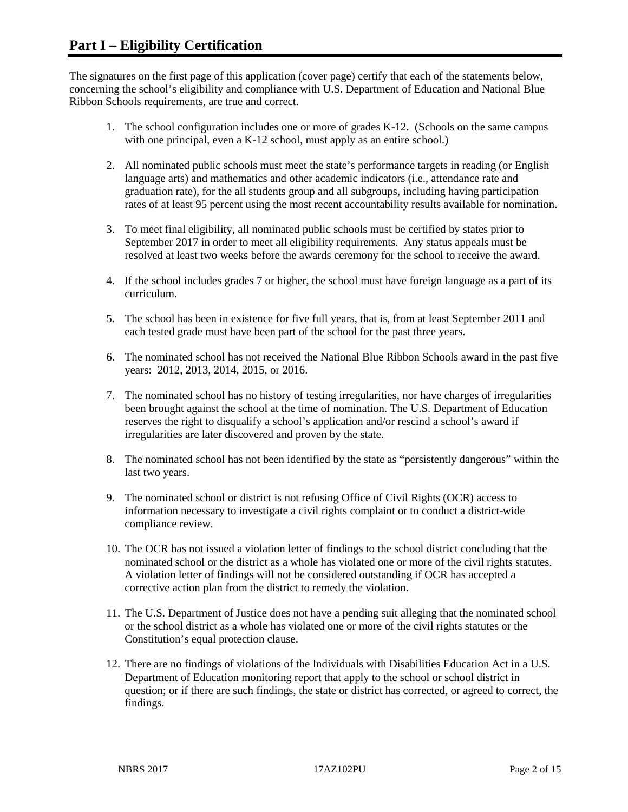The signatures on the first page of this application (cover page) certify that each of the statements below, concerning the school's eligibility and compliance with U.S. Department of Education and National Blue Ribbon Schools requirements, are true and correct.

- 1. The school configuration includes one or more of grades K-12. (Schools on the same campus with one principal, even a K-12 school, must apply as an entire school.)
- 2. All nominated public schools must meet the state's performance targets in reading (or English language arts) and mathematics and other academic indicators (i.e., attendance rate and graduation rate), for the all students group and all subgroups, including having participation rates of at least 95 percent using the most recent accountability results available for nomination.
- 3. To meet final eligibility, all nominated public schools must be certified by states prior to September 2017 in order to meet all eligibility requirements. Any status appeals must be resolved at least two weeks before the awards ceremony for the school to receive the award.
- 4. If the school includes grades 7 or higher, the school must have foreign language as a part of its curriculum.
- 5. The school has been in existence for five full years, that is, from at least September 2011 and each tested grade must have been part of the school for the past three years.
- 6. The nominated school has not received the National Blue Ribbon Schools award in the past five years: 2012, 2013, 2014, 2015, or 2016.
- 7. The nominated school has no history of testing irregularities, nor have charges of irregularities been brought against the school at the time of nomination. The U.S. Department of Education reserves the right to disqualify a school's application and/or rescind a school's award if irregularities are later discovered and proven by the state.
- 8. The nominated school has not been identified by the state as "persistently dangerous" within the last two years.
- 9. The nominated school or district is not refusing Office of Civil Rights (OCR) access to information necessary to investigate a civil rights complaint or to conduct a district-wide compliance review.
- 10. The OCR has not issued a violation letter of findings to the school district concluding that the nominated school or the district as a whole has violated one or more of the civil rights statutes. A violation letter of findings will not be considered outstanding if OCR has accepted a corrective action plan from the district to remedy the violation.
- 11. The U.S. Department of Justice does not have a pending suit alleging that the nominated school or the school district as a whole has violated one or more of the civil rights statutes or the Constitution's equal protection clause.
- 12. There are no findings of violations of the Individuals with Disabilities Education Act in a U.S. Department of Education monitoring report that apply to the school or school district in question; or if there are such findings, the state or district has corrected, or agreed to correct, the findings.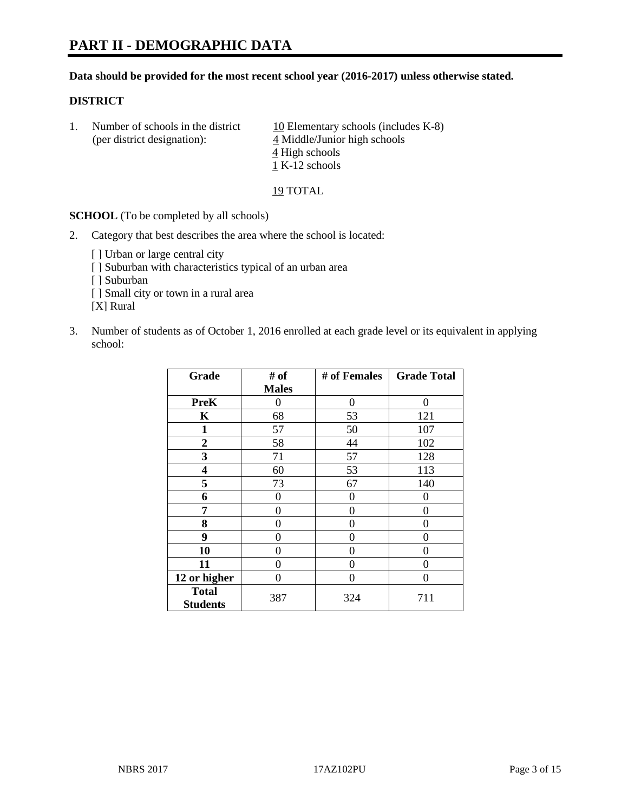#### **Data should be provided for the most recent school year (2016-2017) unless otherwise stated.**

### **DISTRICT**

| Number of schools in the district<br>(per district designation): | 10 Elementary schools (includes K-8)<br>4 Middle/Junior high schools |
|------------------------------------------------------------------|----------------------------------------------------------------------|
|                                                                  | 4 High schools                                                       |
|                                                                  | 1 K-12 schools                                                       |

19 TOTAL

**SCHOOL** (To be completed by all schools)

- 2. Category that best describes the area where the school is located:
	- [] Urban or large central city [ ] Suburban with characteristics typical of an urban area [ ] Suburban [ ] Small city or town in a rural area [X] Rural
- 3. Number of students as of October 1, 2016 enrolled at each grade level or its equivalent in applying school:

| Grade                           | # of         | # of Females | <b>Grade Total</b> |
|---------------------------------|--------------|--------------|--------------------|
|                                 | <b>Males</b> |              |                    |
| <b>PreK</b>                     | 0            | $\theta$     | 0                  |
| K                               | 68           | 53           | 121                |
| 1                               | 57           | 50           | 107                |
| $\overline{2}$                  | 58           | 44           | 102                |
| 3                               | 71           | 57           | 128                |
| 4                               | 60           | 53           | 113                |
| 5                               | 73           | 67           | 140                |
| 6                               | 0            | 0            | 0                  |
| 7                               | 0            | 0            | 0                  |
| 8                               | 0            | 0            | 0                  |
| 9                               | 0            | 0            | $\theta$           |
| 10                              | $\theta$     | 0            | $\Omega$           |
| 11                              | 0            | 0            | 0                  |
| 12 or higher                    | 0            | 0            | $\Omega$           |
| <b>Total</b><br><b>Students</b> | 387          | 324          | 711                |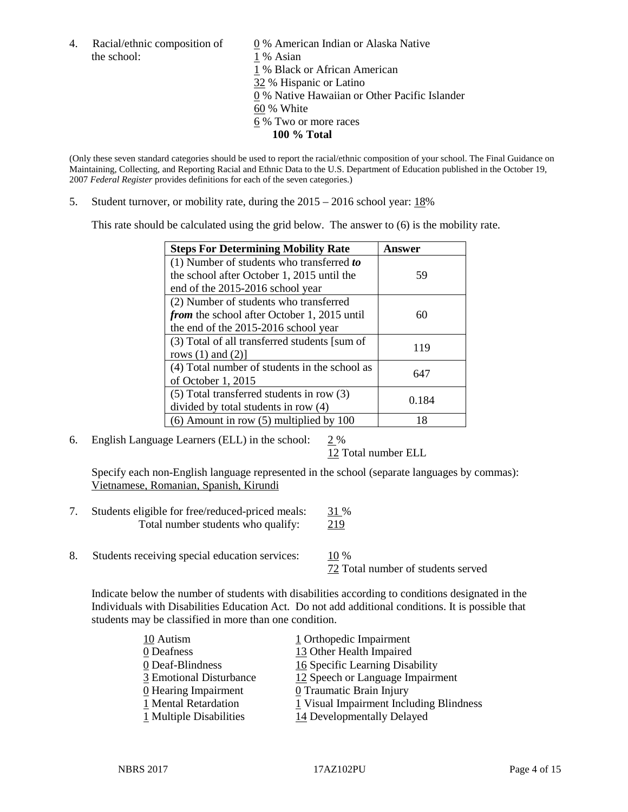the school: 1 % Asian

4. Racial/ethnic composition of  $\qquad 0 \%$  American Indian or Alaska Native 1 % Black or African American 32 % Hispanic or Latino 0 % Native Hawaiian or Other Pacific Islander 60 % White 6 % Two or more races **100 % Total**

(Only these seven standard categories should be used to report the racial/ethnic composition of your school. The Final Guidance on Maintaining, Collecting, and Reporting Racial and Ethnic Data to the U.S. Department of Education published in the October 19, 2007 *Federal Register* provides definitions for each of the seven categories.)

5. Student turnover, or mobility rate, during the 2015 – 2016 school year: 18%

This rate should be calculated using the grid below. The answer to (6) is the mobility rate.

| <b>Steps For Determining Mobility Rate</b>         | Answer |
|----------------------------------------------------|--------|
| (1) Number of students who transferred to          |        |
| the school after October 1, 2015 until the         | 59     |
| end of the 2015-2016 school year                   |        |
| (2) Number of students who transferred             |        |
| <i>from</i> the school after October 1, 2015 until | 60     |
| the end of the 2015-2016 school year               |        |
| (3) Total of all transferred students [sum of      | 119    |
| rows $(1)$ and $(2)$ ]                             |        |
| (4) Total number of students in the school as      | 647    |
| of October 1, 2015                                 |        |
| $(5)$ Total transferred students in row $(3)$      |        |
| divided by total students in row (4)               | 0.184  |
| $(6)$ Amount in row $(5)$ multiplied by 100        | 18     |

6. English Language Learners (ELL) in the school: 2 %

12 Total number ELL

Specify each non-English language represented in the school (separate languages by commas): Vietnamese, Romanian, Spanish, Kirundi

- 7. Students eligible for free/reduced-priced meals: 31 % Total number students who qualify: 219
- 8. Students receiving special education services: 10 %

72 Total number of students served

Indicate below the number of students with disabilities according to conditions designated in the Individuals with Disabilities Education Act. Do not add additional conditions. It is possible that students may be classified in more than one condition.

| 10 Autism               | 1 Orthopedic Impairment                 |
|-------------------------|-----------------------------------------|
| 0 Deafness              | 13 Other Health Impaired                |
| 0 Deaf-Blindness        | 16 Specific Learning Disability         |
| 3 Emotional Disturbance | 12 Speech or Language Impairment        |
| 0 Hearing Impairment    | 0 Traumatic Brain Injury                |
| 1 Mental Retardation    | 1 Visual Impairment Including Blindness |
| 1 Multiple Disabilities | 14 Developmentally Delayed              |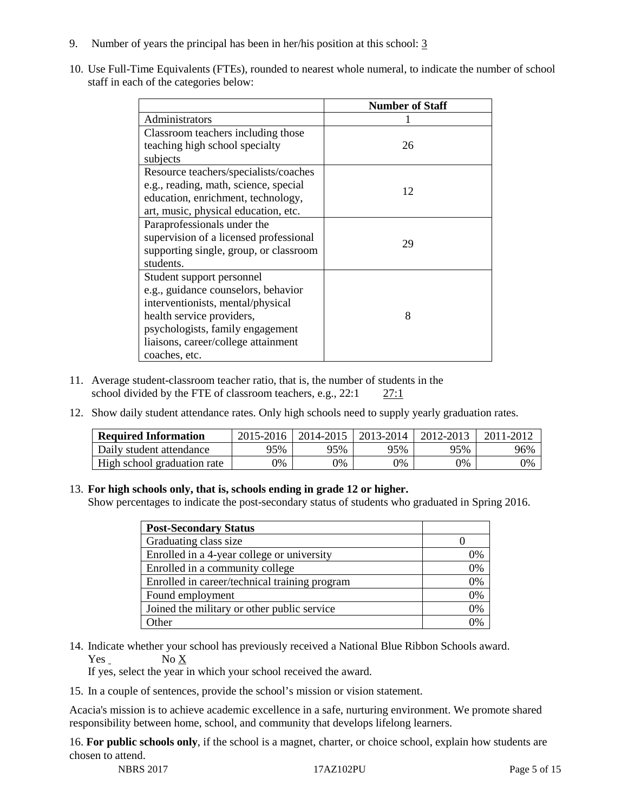- 9. Number of years the principal has been in her/his position at this school: 3
- 10. Use Full-Time Equivalents (FTEs), rounded to nearest whole numeral, to indicate the number of school staff in each of the categories below:

|                                        | <b>Number of Staff</b> |
|----------------------------------------|------------------------|
| Administrators                         |                        |
| Classroom teachers including those     |                        |
| teaching high school specialty         | 26                     |
| subjects                               |                        |
| Resource teachers/specialists/coaches  |                        |
| e.g., reading, math, science, special  | 12                     |
| education, enrichment, technology,     |                        |
| art, music, physical education, etc.   |                        |
| Paraprofessionals under the            |                        |
| supervision of a licensed professional | 29                     |
| supporting single, group, or classroom |                        |
| students.                              |                        |
| Student support personnel              |                        |
| e.g., guidance counselors, behavior    |                        |
| interventionists, mental/physical      |                        |
| health service providers,              | 8                      |
| psychologists, family engagement       |                        |
| liaisons, career/college attainment    |                        |
| coaches, etc.                          |                        |

- 11. Average student-classroom teacher ratio, that is, the number of students in the school divided by the FTE of classroom teachers, e.g., 22:1 27:1
- 12. Show daily student attendance rates. Only high schools need to supply yearly graduation rates.

| <b>Required Information</b> | 2015-2016 | 2014-2015 | 2013-2014 | 2012-2013 |     |
|-----------------------------|-----------|-----------|-----------|-----------|-----|
| Daily student attendance    | 95%       | 95%       | 95%       | 95%       | 96% |
| High school graduation rate | 0%        | 0%        | 0%        | 9%        | 0%  |

#### 13. **For high schools only, that is, schools ending in grade 12 or higher.**

Show percentages to indicate the post-secondary status of students who graduated in Spring 2016.

| <b>Post-Secondary Status</b>                  |    |
|-----------------------------------------------|----|
| Graduating class size                         |    |
| Enrolled in a 4-year college or university    | 0% |
| Enrolled in a community college               | 0% |
| Enrolled in career/technical training program | 0% |
| Found employment                              | 0% |
| Joined the military or other public service   | 0% |
| )ther                                         |    |

14. Indicate whether your school has previously received a National Blue Ribbon Schools award. Yes No X

If yes, select the year in which your school received the award.

15. In a couple of sentences, provide the school's mission or vision statement.

Acacia's mission is to achieve academic excellence in a safe, nurturing environment. We promote shared responsibility between home, school, and community that develops lifelong learners.

16. **For public schools only**, if the school is a magnet, charter, or choice school, explain how students are chosen to attend.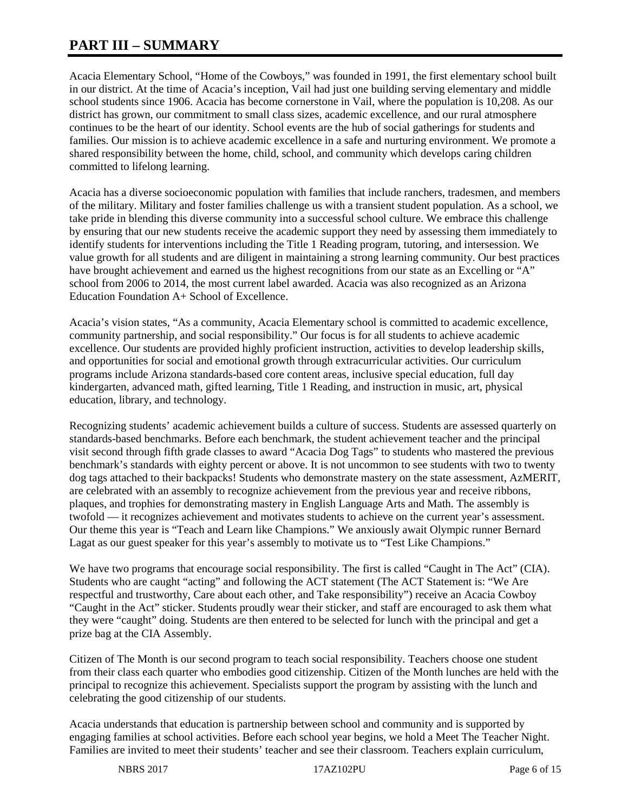# **PART III – SUMMARY**

Acacia Elementary School, "Home of the Cowboys," was founded in 1991, the first elementary school built in our district. At the time of Acacia's inception, Vail had just one building serving elementary and middle school students since 1906. Acacia has become cornerstone in Vail, where the population is 10,208. As our district has grown, our commitment to small class sizes, academic excellence, and our rural atmosphere continues to be the heart of our identity. School events are the hub of social gatherings for students and families. Our mission is to achieve academic excellence in a safe and nurturing environment. We promote a shared responsibility between the home, child, school, and community which develops caring children committed to lifelong learning.

Acacia has a diverse socioeconomic population with families that include ranchers, tradesmen, and members of the military. Military and foster families challenge us with a transient student population. As a school, we take pride in blending this diverse community into a successful school culture. We embrace this challenge by ensuring that our new students receive the academic support they need by assessing them immediately to identify students for interventions including the Title 1 Reading program, tutoring, and intersession. We value growth for all students and are diligent in maintaining a strong learning community. Our best practices have brought achievement and earned us the highest recognitions from our state as an Excelling or "A" school from 2006 to 2014, the most current label awarded. Acacia was also recognized as an Arizona Education Foundation A+ School of Excellence.

Acacia's vision states, "As a community, Acacia Elementary school is committed to academic excellence, community partnership, and social responsibility." Our focus is for all students to achieve academic excellence. Our students are provided highly proficient instruction, activities to develop leadership skills, and opportunities for social and emotional growth through extracurricular activities. Our curriculum programs include Arizona standards-based core content areas, inclusive special education, full day kindergarten, advanced math, gifted learning, Title 1 Reading, and instruction in music, art, physical education, library, and technology.

Recognizing students' academic achievement builds a culture of success. Students are assessed quarterly on standards-based benchmarks. Before each benchmark, the student achievement teacher and the principal visit second through fifth grade classes to award "Acacia Dog Tags" to students who mastered the previous benchmark's standards with eighty percent or above. It is not uncommon to see students with two to twenty dog tags attached to their backpacks! Students who demonstrate mastery on the state assessment, AzMERIT, are celebrated with an assembly to recognize achievement from the previous year and receive ribbons, plaques, and trophies for demonstrating mastery in English Language Arts and Math. The assembly is twofold — it recognizes achievement and motivates students to achieve on the current year's assessment. Our theme this year is "Teach and Learn like Champions." We anxiously await Olympic runner Bernard Lagat as our guest speaker for this year's assembly to motivate us to "Test Like Champions."

We have two programs that encourage social responsibility. The first is called "Caught in The Act" (CIA). Students who are caught "acting" and following the ACT statement (The ACT Statement is: "We Are respectful and trustworthy, Care about each other, and Take responsibility") receive an Acacia Cowboy "Caught in the Act" sticker. Students proudly wear their sticker, and staff are encouraged to ask them what they were "caught" doing. Students are then entered to be selected for lunch with the principal and get a prize bag at the CIA Assembly.

Citizen of The Month is our second program to teach social responsibility. Teachers choose one student from their class each quarter who embodies good citizenship. Citizen of the Month lunches are held with the principal to recognize this achievement. Specialists support the program by assisting with the lunch and celebrating the good citizenship of our students.

Acacia understands that education is partnership between school and community and is supported by engaging families at school activities. Before each school year begins, we hold a Meet The Teacher Night. Families are invited to meet their students' teacher and see their classroom. Teachers explain curriculum,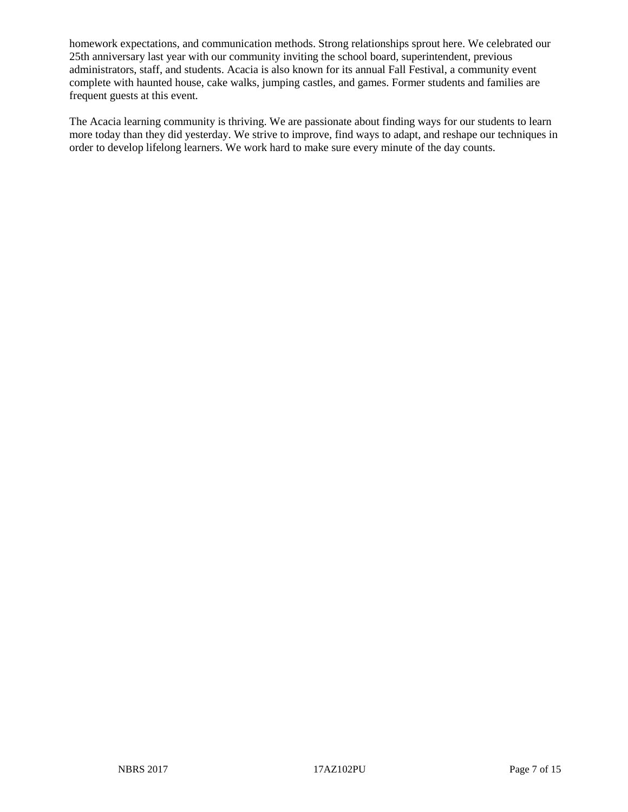homework expectations, and communication methods. Strong relationships sprout here. We celebrated our 25th anniversary last year with our community inviting the school board, superintendent, previous administrators, staff, and students. Acacia is also known for its annual Fall Festival, a community event complete with haunted house, cake walks, jumping castles, and games. Former students and families are frequent guests at this event.

The Acacia learning community is thriving. We are passionate about finding ways for our students to learn more today than they did yesterday. We strive to improve, find ways to adapt, and reshape our techniques in order to develop lifelong learners. We work hard to make sure every minute of the day counts.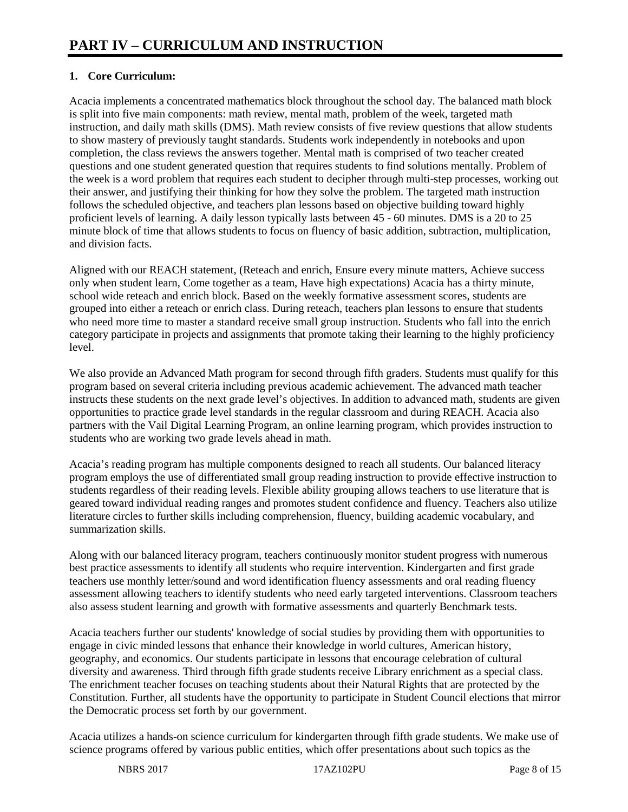# **1. Core Curriculum:**

Acacia implements a concentrated mathematics block throughout the school day. The balanced math block is split into five main components: math review, mental math, problem of the week, targeted math instruction, and daily math skills (DMS). Math review consists of five review questions that allow students to show mastery of previously taught standards. Students work independently in notebooks and upon completion, the class reviews the answers together. Mental math is comprised of two teacher created questions and one student generated question that requires students to find solutions mentally. Problem of the week is a word problem that requires each student to decipher through multi-step processes, working out their answer, and justifying their thinking for how they solve the problem. The targeted math instruction follows the scheduled objective, and teachers plan lessons based on objective building toward highly proficient levels of learning. A daily lesson typically lasts between 45 - 60 minutes. DMS is a 20 to 25 minute block of time that allows students to focus on fluency of basic addition, subtraction, multiplication, and division facts.

Aligned with our REACH statement, (Reteach and enrich, Ensure every minute matters, Achieve success only when student learn, Come together as a team, Have high expectations) Acacia has a thirty minute, school wide reteach and enrich block. Based on the weekly formative assessment scores, students are grouped into either a reteach or enrich class. During reteach, teachers plan lessons to ensure that students who need more time to master a standard receive small group instruction. Students who fall into the enrich category participate in projects and assignments that promote taking their learning to the highly proficiency level.

We also provide an Advanced Math program for second through fifth graders. Students must qualify for this program based on several criteria including previous academic achievement. The advanced math teacher instructs these students on the next grade level's objectives. In addition to advanced math, students are given opportunities to practice grade level standards in the regular classroom and during REACH. Acacia also partners with the Vail Digital Learning Program, an online learning program, which provides instruction to students who are working two grade levels ahead in math.

Acacia's reading program has multiple components designed to reach all students. Our balanced literacy program employs the use of differentiated small group reading instruction to provide effective instruction to students regardless of their reading levels. Flexible ability grouping allows teachers to use literature that is geared toward individual reading ranges and promotes student confidence and fluency. Teachers also utilize literature circles to further skills including comprehension, fluency, building academic vocabulary, and summarization skills.

Along with our balanced literacy program, teachers continuously monitor student progress with numerous best practice assessments to identify all students who require intervention. Kindergarten and first grade teachers use monthly letter/sound and word identification fluency assessments and oral reading fluency assessment allowing teachers to identify students who need early targeted interventions. Classroom teachers also assess student learning and growth with formative assessments and quarterly Benchmark tests.

Acacia teachers further our students' knowledge of social studies by providing them with opportunities to engage in civic minded lessons that enhance their knowledge in world cultures, American history, geography, and economics. Our students participate in lessons that encourage celebration of cultural diversity and awareness. Third through fifth grade students receive Library enrichment as a special class. The enrichment teacher focuses on teaching students about their Natural Rights that are protected by the Constitution. Further, all students have the opportunity to participate in Student Council elections that mirror the Democratic process set forth by our government.

Acacia utilizes a hands-on science curriculum for kindergarten through fifth grade students. We make use of science programs offered by various public entities, which offer presentations about such topics as the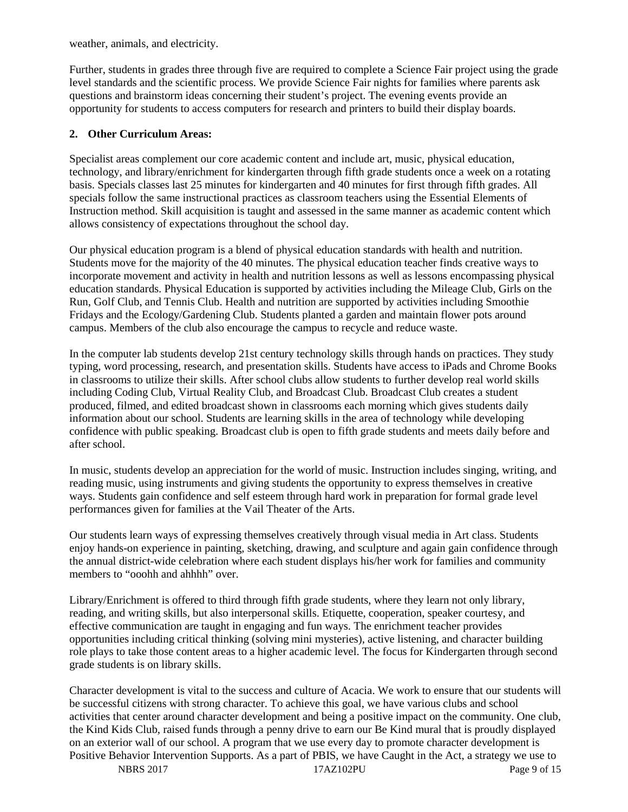weather, animals, and electricity.

Further, students in grades three through five are required to complete a Science Fair project using the grade level standards and the scientific process. We provide Science Fair nights for families where parents ask questions and brainstorm ideas concerning their student's project. The evening events provide an opportunity for students to access computers for research and printers to build their display boards.

### **2. Other Curriculum Areas:**

Specialist areas complement our core academic content and include art, music, physical education, technology, and library/enrichment for kindergarten through fifth grade students once a week on a rotating basis. Specials classes last 25 minutes for kindergarten and 40 minutes for first through fifth grades. All specials follow the same instructional practices as classroom teachers using the Essential Elements of Instruction method. Skill acquisition is taught and assessed in the same manner as academic content which allows consistency of expectations throughout the school day.

Our physical education program is a blend of physical education standards with health and nutrition. Students move for the majority of the 40 minutes. The physical education teacher finds creative ways to incorporate movement and activity in health and nutrition lessons as well as lessons encompassing physical education standards. Physical Education is supported by activities including the Mileage Club, Girls on the Run, Golf Club, and Tennis Club. Health and nutrition are supported by activities including Smoothie Fridays and the Ecology/Gardening Club. Students planted a garden and maintain flower pots around campus. Members of the club also encourage the campus to recycle and reduce waste.

In the computer lab students develop 21st century technology skills through hands on practices. They study typing, word processing, research, and presentation skills. Students have access to iPads and Chrome Books in classrooms to utilize their skills. After school clubs allow students to further develop real world skills including Coding Club, Virtual Reality Club, and Broadcast Club. Broadcast Club creates a student produced, filmed, and edited broadcast shown in classrooms each morning which gives students daily information about our school. Students are learning skills in the area of technology while developing confidence with public speaking. Broadcast club is open to fifth grade students and meets daily before and after school.

In music, students develop an appreciation for the world of music. Instruction includes singing, writing, and reading music, using instruments and giving students the opportunity to express themselves in creative ways. Students gain confidence and self esteem through hard work in preparation for formal grade level performances given for families at the Vail Theater of the Arts.

Our students learn ways of expressing themselves creatively through visual media in Art class. Students enjoy hands-on experience in painting, sketching, drawing, and sculpture and again gain confidence through the annual district-wide celebration where each student displays his/her work for families and community members to "ooohh and ahhhh" over.

Library/Enrichment is offered to third through fifth grade students, where they learn not only library, reading, and writing skills, but also interpersonal skills. Etiquette, cooperation, speaker courtesy, and effective communication are taught in engaging and fun ways. The enrichment teacher provides opportunities including critical thinking (solving mini mysteries), active listening, and character building role plays to take those content areas to a higher academic level. The focus for Kindergarten through second grade students is on library skills.

Character development is vital to the success and culture of Acacia. We work to ensure that our students will be successful citizens with strong character. To achieve this goal, we have various clubs and school activities that center around character development and being a positive impact on the community. One club, the Kind Kids Club, raised funds through a penny drive to earn our Be Kind mural that is proudly displayed on an exterior wall of our school. A program that we use every day to promote character development is Positive Behavior Intervention Supports. As a part of PBIS, we have Caught in the Act, a strategy we use to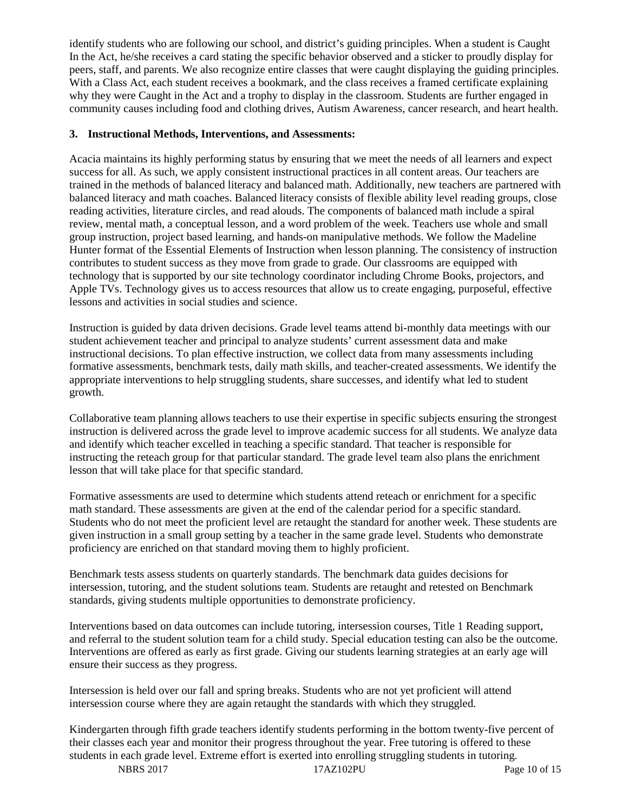identify students who are following our school, and district's guiding principles. When a student is Caught In the Act, he/she receives a card stating the specific behavior observed and a sticker to proudly display for peers, staff, and parents. We also recognize entire classes that were caught displaying the guiding principles. With a Class Act, each student receives a bookmark, and the class receives a framed certificate explaining why they were Caught in the Act and a trophy to display in the classroom. Students are further engaged in community causes including food and clothing drives, Autism Awareness, cancer research, and heart health.

### **3. Instructional Methods, Interventions, and Assessments:**

Acacia maintains its highly performing status by ensuring that we meet the needs of all learners and expect success for all. As such, we apply consistent instructional practices in all content areas. Our teachers are trained in the methods of balanced literacy and balanced math. Additionally, new teachers are partnered with balanced literacy and math coaches. Balanced literacy consists of flexible ability level reading groups, close reading activities, literature circles, and read alouds. The components of balanced math include a spiral review, mental math, a conceptual lesson, and a word problem of the week. Teachers use whole and small group instruction, project based learning, and hands-on manipulative methods. We follow the Madeline Hunter format of the Essential Elements of Instruction when lesson planning. The consistency of instruction contributes to student success as they move from grade to grade. Our classrooms are equipped with technology that is supported by our site technology coordinator including Chrome Books, projectors, and Apple TVs. Technology gives us to access resources that allow us to create engaging, purposeful, effective lessons and activities in social studies and science.

Instruction is guided by data driven decisions. Grade level teams attend bi-monthly data meetings with our student achievement teacher and principal to analyze students' current assessment data and make instructional decisions. To plan effective instruction, we collect data from many assessments including formative assessments, benchmark tests, daily math skills, and teacher-created assessments. We identify the appropriate interventions to help struggling students, share successes, and identify what led to student growth.

Collaborative team planning allows teachers to use their expertise in specific subjects ensuring the strongest instruction is delivered across the grade level to improve academic success for all students. We analyze data and identify which teacher excelled in teaching a specific standard. That teacher is responsible for instructing the reteach group for that particular standard. The grade level team also plans the enrichment lesson that will take place for that specific standard.

Formative assessments are used to determine which students attend reteach or enrichment for a specific math standard. These assessments are given at the end of the calendar period for a specific standard. Students who do not meet the proficient level are retaught the standard for another week. These students are given instruction in a small group setting by a teacher in the same grade level. Students who demonstrate proficiency are enriched on that standard moving them to highly proficient.

Benchmark tests assess students on quarterly standards. The benchmark data guides decisions for intersession, tutoring, and the student solutions team. Students are retaught and retested on Benchmark standards, giving students multiple opportunities to demonstrate proficiency.

Interventions based on data outcomes can include tutoring, intersession courses, Title 1 Reading support, and referral to the student solution team for a child study. Special education testing can also be the outcome. Interventions are offered as early as first grade. Giving our students learning strategies at an early age will ensure their success as they progress.

Intersession is held over our fall and spring breaks. Students who are not yet proficient will attend intersession course where they are again retaught the standards with which they struggled.

Kindergarten through fifth grade teachers identify students performing in the bottom twenty-five percent of their classes each year and monitor their progress throughout the year. Free tutoring is offered to these students in each grade level. Extreme effort is exerted into enrolling struggling students in tutoring.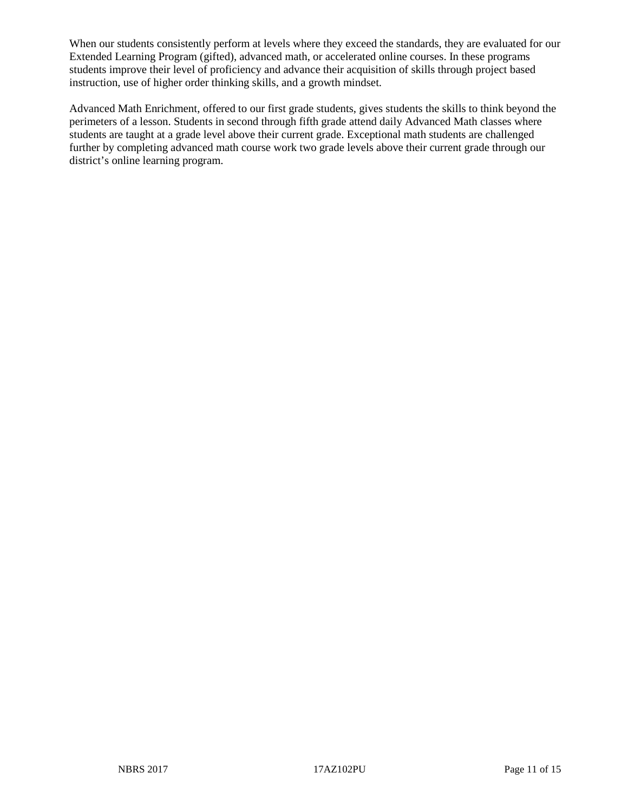When our students consistently perform at levels where they exceed the standards, they are evaluated for our Extended Learning Program (gifted), advanced math, or accelerated online courses. In these programs students improve their level of proficiency and advance their acquisition of skills through project based instruction, use of higher order thinking skills, and a growth mindset.

Advanced Math Enrichment, offered to our first grade students, gives students the skills to think beyond the perimeters of a lesson. Students in second through fifth grade attend daily Advanced Math classes where students are taught at a grade level above their current grade. Exceptional math students are challenged further by completing advanced math course work two grade levels above their current grade through our district's online learning program.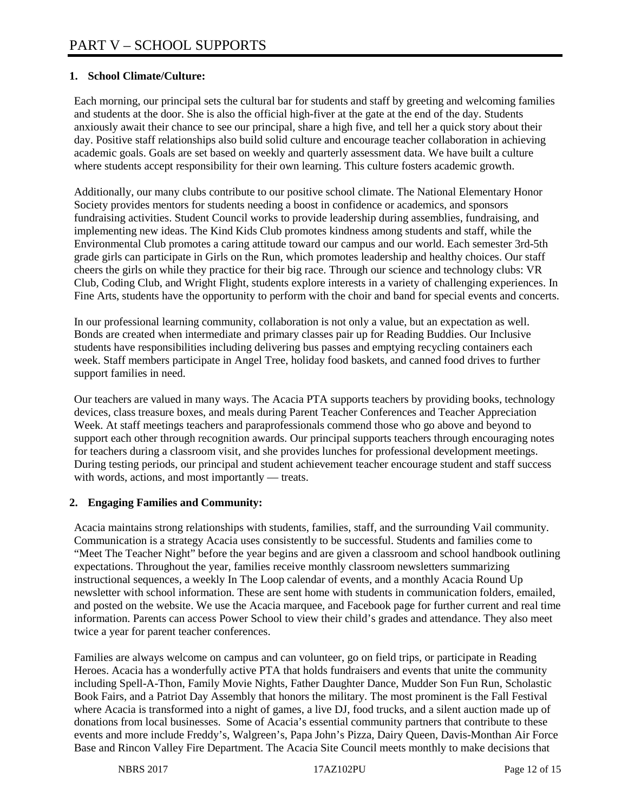# **1. School Climate/Culture:**

Each morning, our principal sets the cultural bar for students and staff by greeting and welcoming families and students at the door. She is also the official high-fiver at the gate at the end of the day. Students anxiously await their chance to see our principal, share a high five, and tell her a quick story about their day. Positive staff relationships also build solid culture and encourage teacher collaboration in achieving academic goals. Goals are set based on weekly and quarterly assessment data. We have built a culture where students accept responsibility for their own learning. This culture fosters academic growth.

Additionally, our many clubs contribute to our positive school climate. The National Elementary Honor Society provides mentors for students needing a boost in confidence or academics, and sponsors fundraising activities. Student Council works to provide leadership during assemblies, fundraising, and implementing new ideas. The Kind Kids Club promotes kindness among students and staff, while the Environmental Club promotes a caring attitude toward our campus and our world. Each semester 3rd-5th grade girls can participate in Girls on the Run, which promotes leadership and healthy choices. Our staff cheers the girls on while they practice for their big race. Through our science and technology clubs: VR Club, Coding Club, and Wright Flight, students explore interests in a variety of challenging experiences. In Fine Arts, students have the opportunity to perform with the choir and band for special events and concerts.

In our professional learning community, collaboration is not only a value, but an expectation as well. Bonds are created when intermediate and primary classes pair up for Reading Buddies. Our Inclusive students have responsibilities including delivering bus passes and emptying recycling containers each week. Staff members participate in Angel Tree, holiday food baskets, and canned food drives to further support families in need.

Our teachers are valued in many ways. The Acacia PTA supports teachers by providing books, technology devices, class treasure boxes, and meals during Parent Teacher Conferences and Teacher Appreciation Week. At staff meetings teachers and paraprofessionals commend those who go above and beyond to support each other through recognition awards. Our principal supports teachers through encouraging notes for teachers during a classroom visit, and she provides lunches for professional development meetings. During testing periods, our principal and student achievement teacher encourage student and staff success with words, actions, and most importantly — treats.

## **2. Engaging Families and Community:**

Acacia maintains strong relationships with students, families, staff, and the surrounding Vail community. Communication is a strategy Acacia uses consistently to be successful. Students and families come to "Meet The Teacher Night" before the year begins and are given a classroom and school handbook outlining expectations. Throughout the year, families receive monthly classroom newsletters summarizing instructional sequences, a weekly In The Loop calendar of events, and a monthly Acacia Round Up newsletter with school information. These are sent home with students in communication folders, emailed, and posted on the website. We use the Acacia marquee, and Facebook page for further current and real time information. Parents can access Power School to view their child's grades and attendance. They also meet twice a year for parent teacher conferences.

Families are always welcome on campus and can volunteer, go on field trips, or participate in Reading Heroes. Acacia has a wonderfully active PTA that holds fundraisers and events that unite the community including Spell-A-Thon, Family Movie Nights, Father Daughter Dance, Mudder Son Fun Run, Scholastic Book Fairs, and a Patriot Day Assembly that honors the military. The most prominent is the Fall Festival where Acacia is transformed into a night of games, a live DJ, food trucks, and a silent auction made up of donations from local businesses. Some of Acacia's essential community partners that contribute to these events and more include Freddy's, Walgreen's, Papa John's Pizza, Dairy Queen, Davis-Monthan Air Force Base and Rincon Valley Fire Department. The Acacia Site Council meets monthly to make decisions that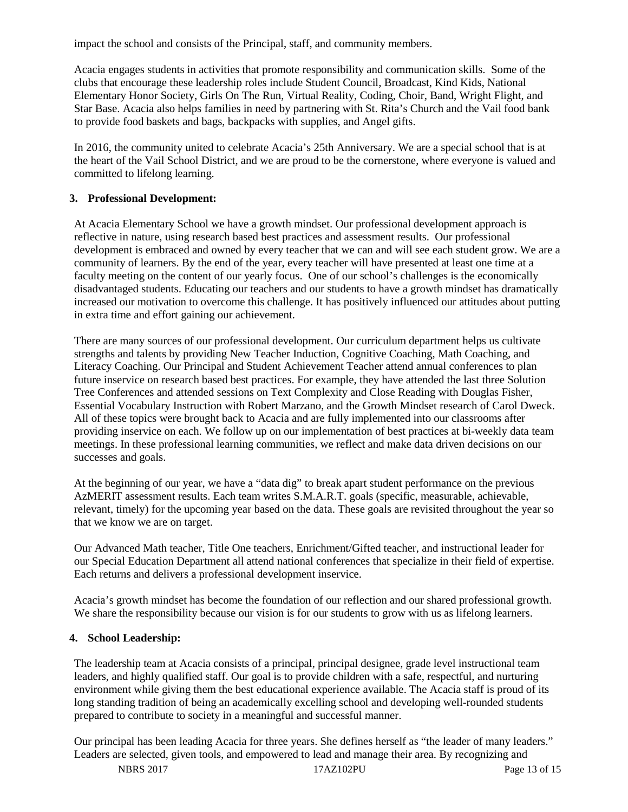impact the school and consists of the Principal, staff, and community members.

Acacia engages students in activities that promote responsibility and communication skills. Some of the clubs that encourage these leadership roles include Student Council, Broadcast, Kind Kids, National Elementary Honor Society, Girls On The Run, Virtual Reality, Coding, Choir, Band, Wright Flight, and Star Base. Acacia also helps families in need by partnering with St. Rita's Church and the Vail food bank to provide food baskets and bags, backpacks with supplies, and Angel gifts.

In 2016, the community united to celebrate Acacia's 25th Anniversary. We are a special school that is at the heart of the Vail School District, and we are proud to be the cornerstone, where everyone is valued and committed to lifelong learning.

#### **3. Professional Development:**

At Acacia Elementary School we have a growth mindset. Our professional development approach is reflective in nature, using research based best practices and assessment results. Our professional development is embraced and owned by every teacher that we can and will see each student grow. We are a community of learners. By the end of the year, every teacher will have presented at least one time at a faculty meeting on the content of our yearly focus. One of our school's challenges is the economically disadvantaged students. Educating our teachers and our students to have a growth mindset has dramatically increased our motivation to overcome this challenge. It has positively influenced our attitudes about putting in extra time and effort gaining our achievement.

There are many sources of our professional development. Our curriculum department helps us cultivate strengths and talents by providing New Teacher Induction, Cognitive Coaching, Math Coaching, and Literacy Coaching. Our Principal and Student Achievement Teacher attend annual conferences to plan future inservice on research based best practices. For example, they have attended the last three Solution Tree Conferences and attended sessions on Text Complexity and Close Reading with Douglas Fisher, Essential Vocabulary Instruction with Robert Marzano, and the Growth Mindset research of Carol Dweck. All of these topics were brought back to Acacia and are fully implemented into our classrooms after providing inservice on each. We follow up on our implementation of best practices at bi-weekly data team meetings. In these professional learning communities, we reflect and make data driven decisions on our successes and goals.

At the beginning of our year, we have a "data dig" to break apart student performance on the previous AzMERIT assessment results. Each team writes S.M.A.R.T. goals (specific, measurable, achievable, relevant, timely) for the upcoming year based on the data. These goals are revisited throughout the year so that we know we are on target.

Our Advanced Math teacher, Title One teachers, Enrichment/Gifted teacher, and instructional leader for our Special Education Department all attend national conferences that specialize in their field of expertise. Each returns and delivers a professional development inservice.

Acacia's growth mindset has become the foundation of our reflection and our shared professional growth. We share the responsibility because our vision is for our students to grow with us as lifelong learners.

#### **4. School Leadership:**

The leadership team at Acacia consists of a principal, principal designee, grade level instructional team leaders, and highly qualified staff. Our goal is to provide children with a safe, respectful, and nurturing environment while giving them the best educational experience available. The Acacia staff is proud of its long standing tradition of being an academically excelling school and developing well-rounded students prepared to contribute to society in a meaningful and successful manner.

Our principal has been leading Acacia for three years. She defines herself as "the leader of many leaders." Leaders are selected, given tools, and empowered to lead and manage their area. By recognizing and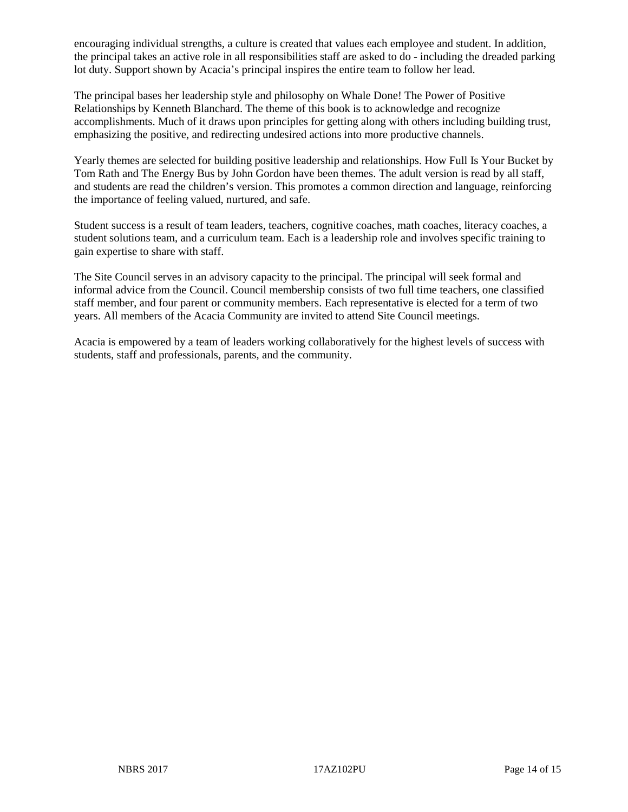encouraging individual strengths, a culture is created that values each employee and student. In addition, the principal takes an active role in all responsibilities staff are asked to do - including the dreaded parking lot duty. Support shown by Acacia's principal inspires the entire team to follow her lead.

The principal bases her leadership style and philosophy on Whale Done! The Power of Positive Relationships by Kenneth Blanchard. The theme of this book is to acknowledge and recognize accomplishments. Much of it draws upon principles for getting along with others including building trust, emphasizing the positive, and redirecting undesired actions into more productive channels.

Yearly themes are selected for building positive leadership and relationships. How Full Is Your Bucket by Tom Rath and The Energy Bus by John Gordon have been themes. The adult version is read by all staff, and students are read the children's version. This promotes a common direction and language, reinforcing the importance of feeling valued, nurtured, and safe.

Student success is a result of team leaders, teachers, cognitive coaches, math coaches, literacy coaches, a student solutions team, and a curriculum team. Each is a leadership role and involves specific training to gain expertise to share with staff.

The Site Council serves in an advisory capacity to the principal. The principal will seek formal and informal advice from the Council. Council membership consists of two full time teachers, one classified staff member, and four parent or community members. Each representative is elected for a term of two years. All members of the Acacia Community are invited to attend Site Council meetings.

Acacia is empowered by a team of leaders working collaboratively for the highest levels of success with students, staff and professionals, parents, and the community.